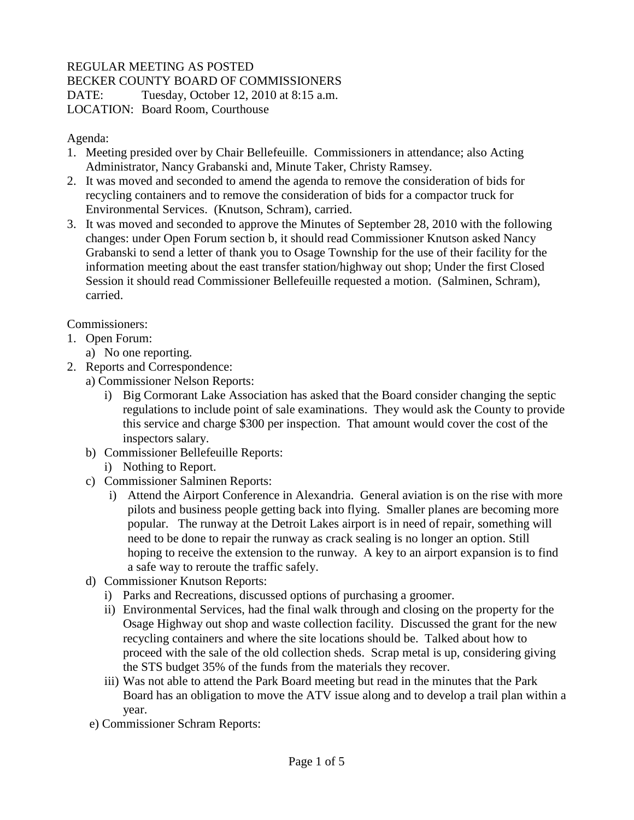## REGULAR MEETING AS POSTED

BECKER COUNTY BOARD OF COMMISSIONERS

DATE: Tuesday, October 12, 2010 at 8:15 a.m. LOCATION: Board Room, Courthouse

## Agenda:

- 1. Meeting presided over by Chair Bellefeuille. Commissioners in attendance; also Acting Administrator, Nancy Grabanski and, Minute Taker, Christy Ramsey.
- 2. It was moved and seconded to amend the agenda to remove the consideration of bids for recycling containers and to remove the consideration of bids for a compactor truck for Environmental Services. (Knutson, Schram), carried.
- 3. It was moved and seconded to approve the Minutes of September 28, 2010 with the following changes: under Open Forum section b, it should read Commissioner Knutson asked Nancy Grabanski to send a letter of thank you to Osage Township for the use of their facility for the information meeting about the east transfer station/highway out shop; Under the first Closed Session it should read Commissioner Bellefeuille requested a motion. (Salminen, Schram), carried.

Commissioners:

- 1. Open Forum:
	- a) No one reporting.
- 2. Reports and Correspondence:
	- a) Commissioner Nelson Reports:
		- i) Big Cormorant Lake Association has asked that the Board consider changing the septic regulations to include point of sale examinations. They would ask the County to provide this service and charge \$300 per inspection. That amount would cover the cost of the inspectors salary.
	- b) Commissioner Bellefeuille Reports:
		- i) Nothing to Report.
	- c) Commissioner Salminen Reports:
		- i) Attend the Airport Conference in Alexandria. General aviation is on the rise with more pilots and business people getting back into flying. Smaller planes are becoming more popular. The runway at the Detroit Lakes airport is in need of repair, something will need to be done to repair the runway as crack sealing is no longer an option. Still hoping to receive the extension to the runway. A key to an airport expansion is to find a safe way to reroute the traffic safely.
	- d) Commissioner Knutson Reports:
		- i) Parks and Recreations, discussed options of purchasing a groomer.
		- ii) Environmental Services, had the final walk through and closing on the property for the Osage Highway out shop and waste collection facility. Discussed the grant for the new recycling containers and where the site locations should be. Talked about how to proceed with the sale of the old collection sheds. Scrap metal is up, considering giving the STS budget 35% of the funds from the materials they recover.
		- iii) Was not able to attend the Park Board meeting but read in the minutes that the Park Board has an obligation to move the ATV issue along and to develop a trail plan within a year.
	- e) Commissioner Schram Reports: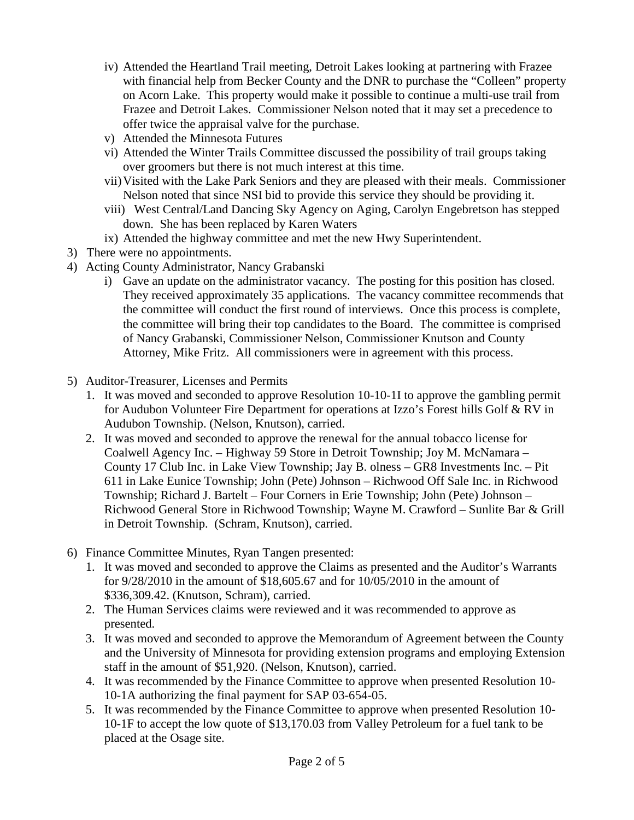- iv) Attended the Heartland Trail meeting, Detroit Lakes looking at partnering with Frazee with financial help from Becker County and the DNR to purchase the "Colleen" property on Acorn Lake. This property would make it possible to continue a multi-use trail from Frazee and Detroit Lakes. Commissioner Nelson noted that it may set a precedence to offer twice the appraisal valve for the purchase.
- v) Attended the Minnesota Futures
- vi) Attended the Winter Trails Committee discussed the possibility of trail groups taking over groomers but there is not much interest at this time.
- vii)Visited with the Lake Park Seniors and they are pleased with their meals. Commissioner Nelson noted that since NSI bid to provide this service they should be providing it.
- viii) West Central/Land Dancing Sky Agency on Aging, Carolyn Engebretson has stepped down. She has been replaced by Karen Waters
- ix) Attended the highway committee and met the new Hwy Superintendent.
- 3) There were no appointments.
- 4) Acting County Administrator, Nancy Grabanski
	- i) Gave an update on the administrator vacancy. The posting for this position has closed. They received approximately 35 applications. The vacancy committee recommends that the committee will conduct the first round of interviews. Once this process is complete, the committee will bring their top candidates to the Board. The committee is comprised of Nancy Grabanski, Commissioner Nelson, Commissioner Knutson and County Attorney, Mike Fritz. All commissioners were in agreement with this process.
- 5) Auditor-Treasurer, Licenses and Permits
	- 1. It was moved and seconded to approve Resolution 10-10-1I to approve the gambling permit for Audubon Volunteer Fire Department for operations at Izzo's Forest hills Golf & RV in Audubon Township. (Nelson, Knutson), carried.
	- 2. It was moved and seconded to approve the renewal for the annual tobacco license for Coalwell Agency Inc. – Highway 59 Store in Detroit Township; Joy M. McNamara – County 17 Club Inc. in Lake View Township; Jay B. olness – GR8 Investments Inc. – Pit 611 in Lake Eunice Township; John (Pete) Johnson – Richwood Off Sale Inc. in Richwood Township; Richard J. Bartelt – Four Corners in Erie Township; John (Pete) Johnson – Richwood General Store in Richwood Township; Wayne M. Crawford – Sunlite Bar & Grill in Detroit Township. (Schram, Knutson), carried.
- 6) Finance Committee Minutes, Ryan Tangen presented:
	- 1. It was moved and seconded to approve the Claims as presented and the Auditor's Warrants for 9/28/2010 in the amount of \$18,605.67 and for 10/05/2010 in the amount of \$336,309.42. (Knutson, Schram), carried.
	- 2. The Human Services claims were reviewed and it was recommended to approve as presented.
	- 3. It was moved and seconded to approve the Memorandum of Agreement between the County and the University of Minnesota for providing extension programs and employing Extension staff in the amount of \$51,920. (Nelson, Knutson), carried.
	- 4. It was recommended by the Finance Committee to approve when presented Resolution 10- 10-1A authorizing the final payment for SAP 03-654-05.
	- 5. It was recommended by the Finance Committee to approve when presented Resolution 10- 10-1F to accept the low quote of \$13,170.03 from Valley Petroleum for a fuel tank to be placed at the Osage site.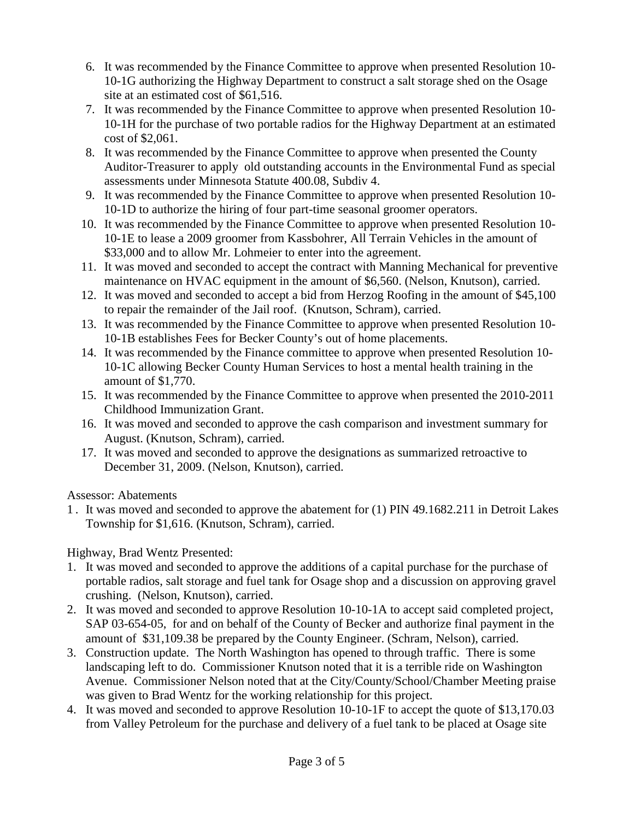- 6. It was recommended by the Finance Committee to approve when presented Resolution 10- 10-1G authorizing the Highway Department to construct a salt storage shed on the Osage site at an estimated cost of \$61,516.
- 7. It was recommended by the Finance Committee to approve when presented Resolution 10- 10-1H for the purchase of two portable radios for the Highway Department at an estimated cost of \$2,061.
- 8. It was recommended by the Finance Committee to approve when presented the County Auditor-Treasurer to apply old outstanding accounts in the Environmental Fund as special assessments under Minnesota Statute 400.08, Subdiv 4.
- 9. It was recommended by the Finance Committee to approve when presented Resolution 10- 10-1D to authorize the hiring of four part-time seasonal groomer operators.
- 10. It was recommended by the Finance Committee to approve when presented Resolution 10- 10-1E to lease a 2009 groomer from Kassbohrer, All Terrain Vehicles in the amount of \$33,000 and to allow Mr. Lohmeier to enter into the agreement.
- 11. It was moved and seconded to accept the contract with Manning Mechanical for preventive maintenance on HVAC equipment in the amount of \$6,560. (Nelson, Knutson), carried.
- 12. It was moved and seconded to accept a bid from Herzog Roofing in the amount of \$45,100 to repair the remainder of the Jail roof. (Knutson, Schram), carried.
- 13. It was recommended by the Finance Committee to approve when presented Resolution 10- 10-1B establishes Fees for Becker County's out of home placements.
- 14. It was recommended by the Finance committee to approve when presented Resolution 10- 10-1C allowing Becker County Human Services to host a mental health training in the amount of \$1,770.
- 15. It was recommended by the Finance Committee to approve when presented the 2010-2011 Childhood Immunization Grant.
- 16. It was moved and seconded to approve the cash comparison and investment summary for August. (Knutson, Schram), carried.
- 17. It was moved and seconded to approve the designations as summarized retroactive to December 31, 2009. (Nelson, Knutson), carried.

Assessor: Abatements

1 . It was moved and seconded to approve the abatement for (1) PIN 49.1682.211 in Detroit Lakes Township for \$1,616. (Knutson, Schram), carried.

Highway, Brad Wentz Presented:

- 1. It was moved and seconded to approve the additions of a capital purchase for the purchase of portable radios, salt storage and fuel tank for Osage shop and a discussion on approving gravel crushing. (Nelson, Knutson), carried.
- 2. It was moved and seconded to approve Resolution 10-10-1A to accept said completed project, SAP 03-654-05, for and on behalf of the County of Becker and authorize final payment in the amount of \$31,109.38 be prepared by the County Engineer. (Schram, Nelson), carried.
- 3. Construction update. The North Washington has opened to through traffic. There is some landscaping left to do. Commissioner Knutson noted that it is a terrible ride on Washington Avenue. Commissioner Nelson noted that at the City/County/School/Chamber Meeting praise was given to Brad Wentz for the working relationship for this project.
- 4. It was moved and seconded to approve Resolution 10-10-1F to accept the quote of \$13,170.03 from Valley Petroleum for the purchase and delivery of a fuel tank to be placed at Osage site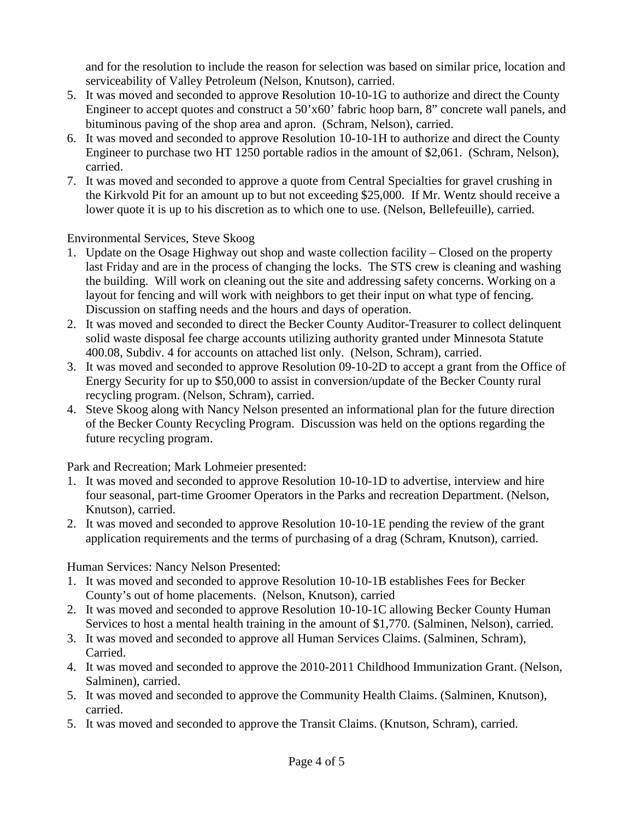and for the resolution to include the reason for selection was based on similar price, location and serviceability of Valley Petroleum (Nelson, Knutson), carried.

- 5. It was moved and seconded to approve Resolution 10-10-1G to authorize and direct the County Engineer to accept quotes and construct a 50'x60' fabric hoop barn, 8" concrete wall panels, and bituminous paving of the shop area and apron. (Schram, Nelson), carried.
- 6. It was moved and seconded to approve Resolution 10-10-1H to authorize and direct the County Engineer to purchase two HT 1250 portable radios in the amount of \$2,061. (Schram, Nelson), carried.
- 7. It was moved and seconded to approve a quote from Central Specialties for gravel crushing in the Kirkvold Pit for an amount up to but not exceeding \$25,000. If Mr. Wentz should receive a lower quote it is up to his discretion as to which one to use. (Nelson, Bellefeuille), carried.

Environmental Services, Steve Skoog

- 1. Update on the Osage Highway out shop and waste collection facility Closed on the property last Friday and are in the process of changing the locks. The STS crew is cleaning and washing the building. Will work on cleaning out the site and addressing safety concerns. Working on a layout for fencing and will work with neighbors to get their input on what type of fencing. Discussion on staffing needs and the hours and days of operation.
- 2. It was moved and seconded to direct the Becker County Auditor-Treasurer to collect delinquent solid waste disposal fee charge accounts utilizing authority granted under Minnesota Statute 400.08, Subdiv. 4 for accounts on attached list only. (Nelson, Schram), carried.
- 3. It was moved and seconded to approve Resolution 09-10-2D to accept a grant from the Office of Energy Security for up to \$50,000 to assist in conversion/update of the Becker County rural recycling program. (Nelson, Schram), carried.
- 4. Steve Skoog along with Nancy Nelson presented an informational plan for the future direction of the Becker County Recycling Program. Discussion was held on the options regarding the future recycling program.

Park and Recreation; Mark Lohmeier presented:

- 1. It was moved and seconded to approve Resolution 10-10-1D to advertise, interview and hire four seasonal, part-time Groomer Operators in the Parks and recreation Department. (Nelson, Knutson), carried.
- 2. It was moved and seconded to approve Resolution 10-10-1E pending the review of the grant application requirements and the terms of purchasing of a drag (Schram, Knutson), carried.

Human Services: Nancy Nelson Presented:

- 1. It was moved and seconded to approve Resolution 10-10-1B establishes Fees for Becker County's out of home placements. (Nelson, Knutson), carried
- 2. It was moved and seconded to approve Resolution 10-10-1C allowing Becker County Human Services to host a mental health training in the amount of \$1,770. (Salminen, Nelson), carried.
- 3. It was moved and seconded to approve all Human Services Claims. (Salminen, Schram), Carried.
- 4. It was moved and seconded to approve the 2010-2011 Childhood Immunization Grant. (Nelson, Salminen), carried.
- 5. It was moved and seconded to approve the Community Health Claims. (Salminen, Knutson), carried.
- 5. It was moved and seconded to approve the Transit Claims. (Knutson, Schram), carried.